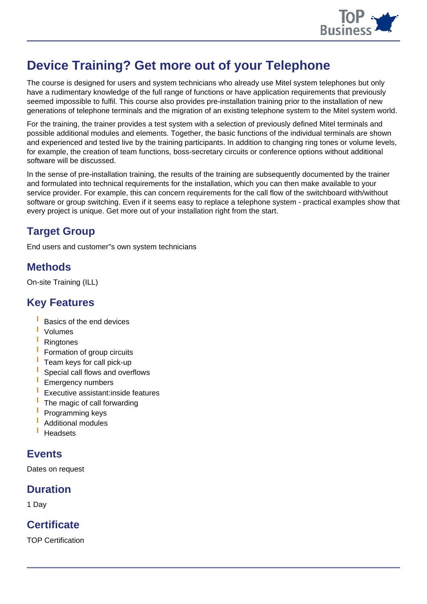

# **Device Training? Get more out of your Telephone**

The course is designed for users and system technicians who already use Mitel system telephones but only have a rudimentary knowledge of the full range of functions or have application requirements that previously seemed impossible to fulfil. This course also provides pre-installation training prior to the installation of new generations of telephone terminals and the migration of an existing telephone system to the Mitel system world.

For the training, the trainer provides a test system with a selection of previously defined Mitel terminals and possible additional modules and elements. Together, the basic functions of the individual terminals are shown and experienced and tested live by the training participants. In addition to changing ring tones or volume levels, for example, the creation of team functions, boss-secretary circuits or conference options without additional software will be discussed.

In the sense of pre-installation training, the results of the training are subsequently documented by the trainer and formulated into technical requirements for the installation, which you can then make available to your service provider. For example, this can concern requirements for the call flow of the switchboard with/without software or group switching. Even if it seems easy to replace a telephone system - practical examples show that every project is unique. Get more out of your installation right from the start.

## **Target Group**

End users and customer"s own system technicians

#### **Methods**

On-site Training (ILL)

#### **Key Features**

- **I** Basics of the end devices
- **I** Volumes
- **I** Ringtones
- **I** Formation of group circuits
- **I** Team keys for call pick-up
- **I** Special call flows and overflows
- **I** Emergency numbers
- **I** Executive assistant:inside features
- **I** The magic of call forwarding
- **I** Programming keys
- **I** Additional modules
- **I** Headsets

#### **Events**

Dates on request

## **Duration**

1 Day

## **Certificate**

TOP Certification